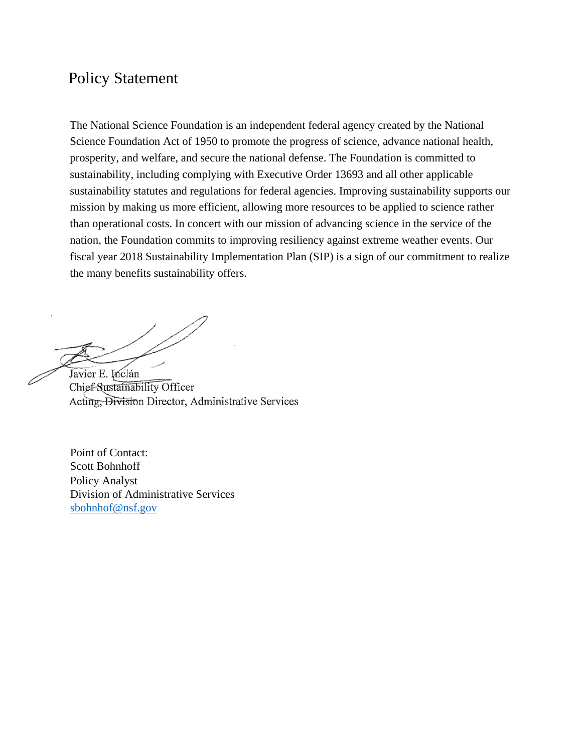# Policy Statement

The National Science Foundation is an independent federal agency created by the National Science Foundation Act of 1950 to promote the progress of science, advance national health, prosperity, and welfare, and secure the national defense. The Foundation is committed to sustainability, including complying with Executive Order 13693 and all other applicable sustainability statutes and regulations for federal agencies. Improving sustainability supports our mission by making us more efficient, allowing more resources to be applied to science rather than operational costs. In concert with our mission of advancing science in the service of the nation, the Foundation commits to improving resiliency against extreme weather events. Our fiscal year 2018 Sustainability Implementation Plan (SIP) is a sign of our commitment to realize the many benefits sustainability offers.

Javier E. Inclán Chief-Sustainability Officer Acting, Division Director, Administrative Services

Point of Contact: Scott Bohnhoff Policy Analyst Division of Administrative Services [sbohnhof@nsf.gov](mailto:sbohnhof@nsf.gov)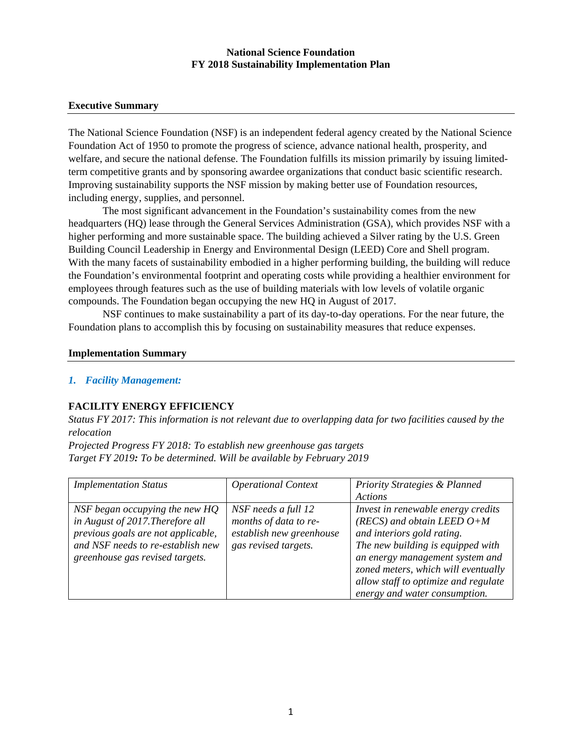#### **Executive Summary**

The National Science Foundation (NSF) is an independent federal agency created by the National Science Foundation Act of 1950 to promote the progress of science, advance national health, prosperity, and welfare, and secure the national defense. The Foundation fulfills its mission primarily by issuing limitedterm competitive grants and by sponsoring awardee organizations that conduct basic scientific research. Improving sustainability supports the NSF mission by making better use of Foundation resources, including energy, supplies, and personnel.

The most significant advancement in the Foundation's sustainability comes from the new headquarters (HQ) lease through the General Services Administration (GSA), which provides NSF with a higher performing and more sustainable space. The building achieved a Silver rating by the U.S. Green Building Council Leadership in Energy and Environmental Design (LEED) Core and Shell program. With the many facets of sustainability embodied in a higher performing building, the building will reduce the Foundation's environmental footprint and operating costs while providing a healthier environment for employees through features such as the use of building materials with low levels of volatile organic compounds. The Foundation began occupying the new HQ in August of 2017.

NSF continues to make sustainability a part of its day-to-day operations. For the near future, the Foundation plans to accomplish this by focusing on sustainability measures that reduce expenses.

#### **Implementation Summary**

#### *1. Facility Management:*

#### **FACILITY ENERGY EFFICIENCY**

*Status FY 2017: This information is not relevant due to overlapping data for two facilities caused by the relocation*

*Projected Progress FY 2018: To establish new greenhouse gas targets Target FY 2019: To be determined. Will be available by February 2019*

| <b>Implementation Status</b>                                                                                                                                                     | <b>Operational Context</b>                                                                       | <b>Priority Strategies &amp; Planned</b><br>Actions                                                                                                                                                                                                                                      |
|----------------------------------------------------------------------------------------------------------------------------------------------------------------------------------|--------------------------------------------------------------------------------------------------|------------------------------------------------------------------------------------------------------------------------------------------------------------------------------------------------------------------------------------------------------------------------------------------|
| NSF began occupying the new HQ<br>in August of 2017. Therefore all<br>previous goals are not applicable,<br>and NSF needs to re-establish new<br>greenhouse gas revised targets. | NSF needs a full 12<br>months of data to re-<br>establish new greenhouse<br>gas revised targets. | Invest in renewable energy credits<br>(RECS) and obtain LEED $O+M$<br>and interiors gold rating.<br>The new building is equipped with<br>an energy management system and<br>zoned meters, which will eventually<br>allow staff to optimize and regulate<br>energy and water consumption. |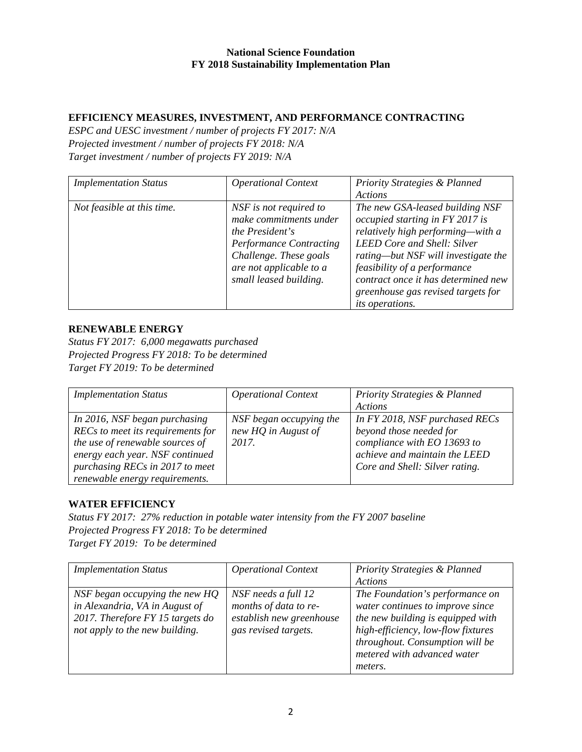### **EFFICIENCY MEASURES, INVESTMENT, AND PERFORMANCE CONTRACTING**

*ESPC and UESC investment / number of projects FY 2017: N/A Projected investment / number of projects FY 2018: N/A Target investment / number of projects FY 2019: N/A*

| <b>Implementation Status</b> | <b>Operational Context</b>                                                                                                                                                           | <b>Priority Strategies &amp; Planned</b><br>Actions                                                                                                                                                                                                                                                           |
|------------------------------|--------------------------------------------------------------------------------------------------------------------------------------------------------------------------------------|---------------------------------------------------------------------------------------------------------------------------------------------------------------------------------------------------------------------------------------------------------------------------------------------------------------|
| Not feasible at this time.   | NSF is not required to<br>make commitments under<br>the President's<br><b>Performance Contracting</b><br>Challenge. These goals<br>are not applicable to a<br>small leased building. | The new GSA-leased building NSF<br>occupied starting in FY 2017 is<br>relatively high performing—with a<br>LEED Core and Shell: Silver<br>rating-but NSF will investigate the<br>feasibility of a performance<br>contract once it has determined new<br>greenhouse gas revised targets for<br>its operations. |

### **RENEWABLE ENERGY**

*Status FY 2017: 6,000 megawatts purchased Projected Progress FY 2018: To be determined Target FY 2019: To be determined*

| <b>Implementation Status</b>      | <b>Operational Context</b> | <b>Priority Strategies &amp; Planned</b> |
|-----------------------------------|----------------------------|------------------------------------------|
|                                   |                            | Actions                                  |
| In 2016, NSF began purchasing     | NSF began occupying the    | In FY 2018, NSF purchased RECs           |
| RECs to meet its requirements for | new HQ in August of        | beyond those needed for                  |
| the use of renewable sources of   | 2017.                      | compliance with EO 13693 to              |
| energy each year. NSF continued   |                            | achieve and maintain the LEED            |
| purchasing RECs in 2017 to meet   |                            | Core and Shell: Silver rating.           |
| renewable energy requirements.    |                            |                                          |

# **WATER EFFICIENCY**

*Status FY 2017: 27% reduction in potable water intensity from the FY 2007 baseline Projected Progress FY 2018: To be determined Target FY 2019: To be determined*

| <b>Implementation Status</b>                                                                                                           | <b>Operational Context</b>                                                                       | <b>Priority Strategies &amp; Planned</b><br>Actions                                                                                                                                                                         |
|----------------------------------------------------------------------------------------------------------------------------------------|--------------------------------------------------------------------------------------------------|-----------------------------------------------------------------------------------------------------------------------------------------------------------------------------------------------------------------------------|
| NSF began occupying the new HQ<br>in Alexandria, VA in August of<br>2017. Therefore FY 15 targets do<br>not apply to the new building. | NSF needs a full 12<br>months of data to re-<br>establish new greenhouse<br>gas revised targets. | The Foundation's performance on<br>water continues to improve since<br>the new building is equipped with<br>high-efficiency, low-flow fixtures<br>throughout. Consumption will be<br>metered with advanced water<br>meters. |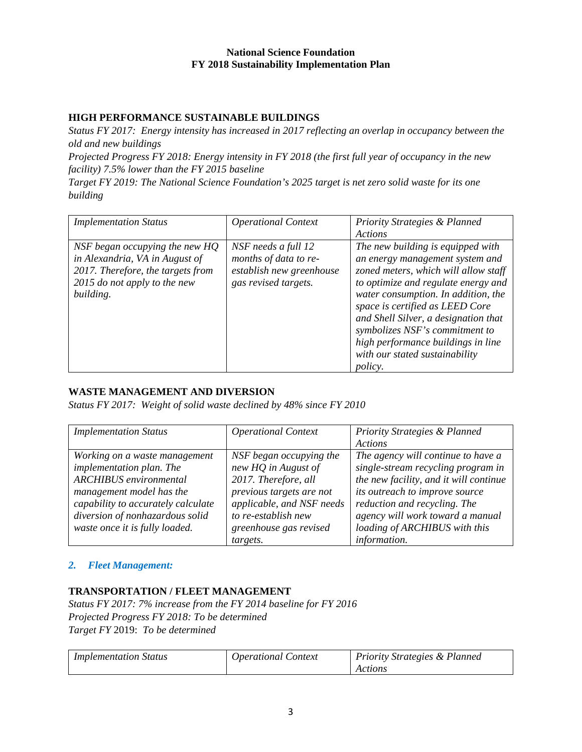### **HIGH PERFORMANCE SUSTAINABLE BUILDINGS**

*Status FY 2017: Energy intensity has increased in 2017 reflecting an overlap in occupancy between the old and new buildings*

*Projected Progress FY 2018: Energy intensity in FY 2018 (the first full year of occupancy in the new facility) 7.5% lower than the FY 2015 baseline*

*Target FY 2019: The National Science Foundation's 2025 target is net zero solid waste for its one building*

| <b>Implementation Status</b>      | <b>Operational Context</b> | <b>Priority Strategies &amp; Planned</b> |
|-----------------------------------|----------------------------|------------------------------------------|
|                                   |                            | Actions                                  |
| NSF began occupying the new HQ    | NSF needs a full 12        | The new building is equipped with        |
| in Alexandria, VA in August of    | months of data to re-      | an energy management system and          |
| 2017. Therefore, the targets from | establish new greenhouse   | zoned meters, which will allow staff     |
| 2015 do not apply to the new      | gas revised targets.       | to optimize and regulate energy and      |
| building.                         |                            | water consumption. In addition, the      |
|                                   |                            | space is certified as LEED Core          |
|                                   |                            | and Shell Silver, a designation that     |
|                                   |                            | symbolizes NSF's commitment to           |
|                                   |                            | high performance buildings in line       |
|                                   |                            | with our stated sustainability           |
|                                   |                            | <i>policy.</i>                           |

# **WASTE MANAGEMENT AND DIVERSION**

*Status FY 2017: Weight of solid waste declined by 48% since FY 2010*

| <b>Implementation Status</b>       | <b>Operational Context</b> | <b>Priority Strategies &amp; Planned</b> |
|------------------------------------|----------------------------|------------------------------------------|
|                                    |                            | Actions                                  |
| Working on a waste management      | NSF began occupying the    | The agency will continue to have a       |
| implementation plan. The           | new HQ in August of        | single-stream recycling program in       |
| <b>ARCHIBUS</b> environmental      | 2017. Therefore, all       | the new facility, and it will continue   |
| management model has the           | previous targets are not   | its outreach to improve source           |
| capability to accurately calculate | applicable, and NSF needs  | reduction and recycling. The             |
| diversion of nonhazardous solid    | to re-establish new        | agency will work toward a manual         |
| waste once it is fully loaded.     | greenhouse gas revised     | loading of ARCHIBUS with this            |
|                                    | targets.                   | information.                             |

### *2. Fleet Management:*

### **TRANSPORTATION / FLEET MANAGEMENT**

*Status FY 2017: 7% increase from the FY 2014 baseline for FY 2016 Projected Progress FY 2018: To be determined Target FY* 2019: *To be determined*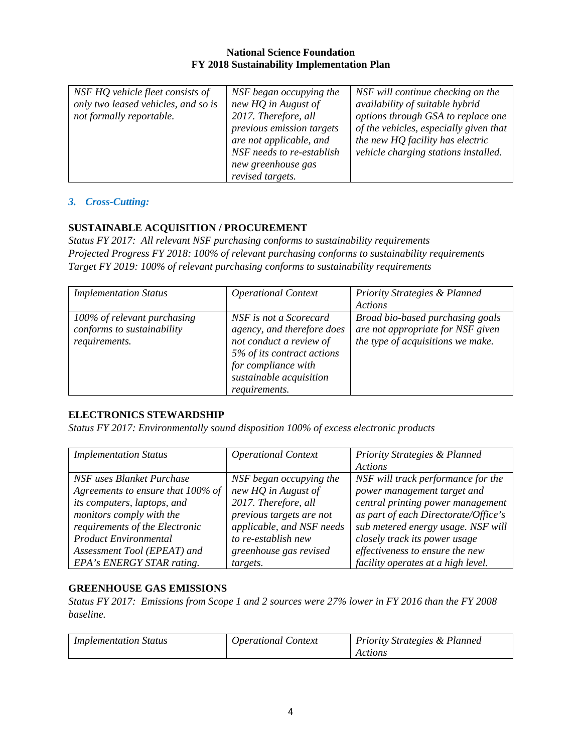### *3. Cross-Cutting:*

### **SUSTAINABLE ACQUISITION / PROCUREMENT**

*Status FY 2017: All relevant NSF purchasing conforms to sustainability requirements Projected Progress FY 2018: 100% of relevant purchasing conforms to sustainability requirements Target FY 2019: 100% of relevant purchasing conforms to sustainability requirements*

| <b>Implementation Status</b>                                               | <b>Operational Context</b>                                                                                                                                                       | <b>Priority Strategies &amp; Planned</b>                                                                   |
|----------------------------------------------------------------------------|----------------------------------------------------------------------------------------------------------------------------------------------------------------------------------|------------------------------------------------------------------------------------------------------------|
|                                                                            |                                                                                                                                                                                  | <b>Actions</b>                                                                                             |
| 100% of relevant purchasing<br>conforms to sustainability<br>requirements. | NSF is not a Scorecard<br>agency, and therefore does<br>not conduct a review of<br>5% of its contract actions<br>for compliance with<br>sustainable acquisition<br>requirements. | Broad bio-based purchasing goals<br>are not appropriate for NSF given<br>the type of acquisitions we make. |

### **ELECTRONICS STEWARDSHIP**

*Status FY 2017: Environmentally sound disposition 100% of excess electronic products*

| <b>Implementation Status</b>      | <b>Operational Context</b> | <b>Priority Strategies &amp; Planned</b> |
|-----------------------------------|----------------------------|------------------------------------------|
|                                   |                            | Actions                                  |
| NSF uses Blanket Purchase         | NSF began occupying the    | NSF will track performance for the       |
| Agreements to ensure that 100% of | new HQ in August of        | power management target and              |
| its computers, laptops, and       | 2017. Therefore, all       | central printing power management        |
| monitors comply with the          | previous targets are not   | as part of each Directorate/Office's     |
| requirements of the Electronic    | applicable, and NSF needs  | sub metered energy usage. NSF will       |
| <b>Product Environmental</b>      | to re-establish new        | closely track its power usage            |
| Assessment Tool (EPEAT) and       | greenhouse gas revised     | effectiveness to ensure the new          |
| EPA's ENERGY STAR rating.         | targets.                   | facility operates at a high level.       |

### **GREENHOUSE GAS EMISSIONS**

*Status FY 2017: Emissions from Scope 1 and 2 sources were 27% lower in FY 2016 than the FY 2008 baseline.* 

| <i>Implementation Status</i> | Operational Context | <b>Priority Strategies &amp; Planned</b> |
|------------------------------|---------------------|------------------------------------------|
|                              |                     |                                          |